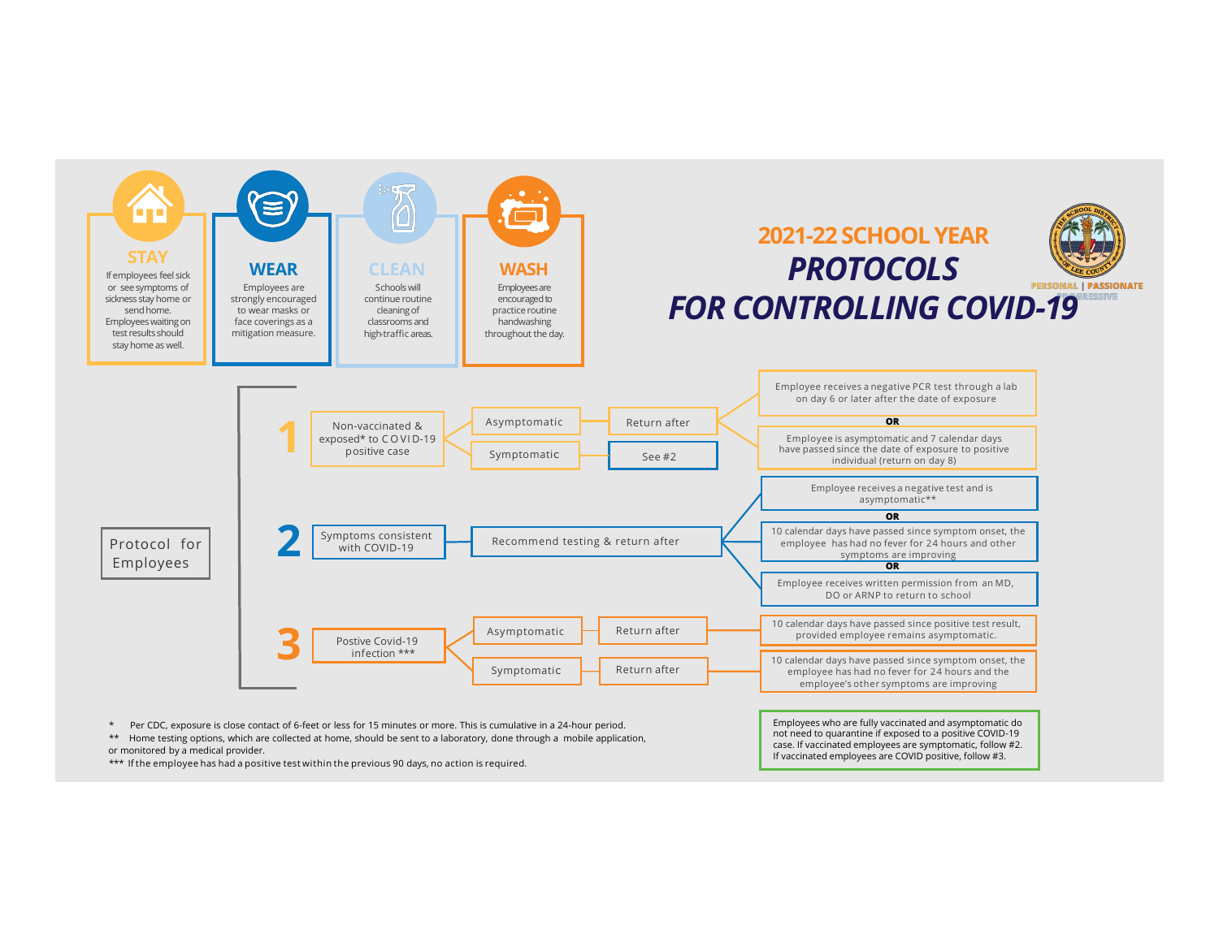